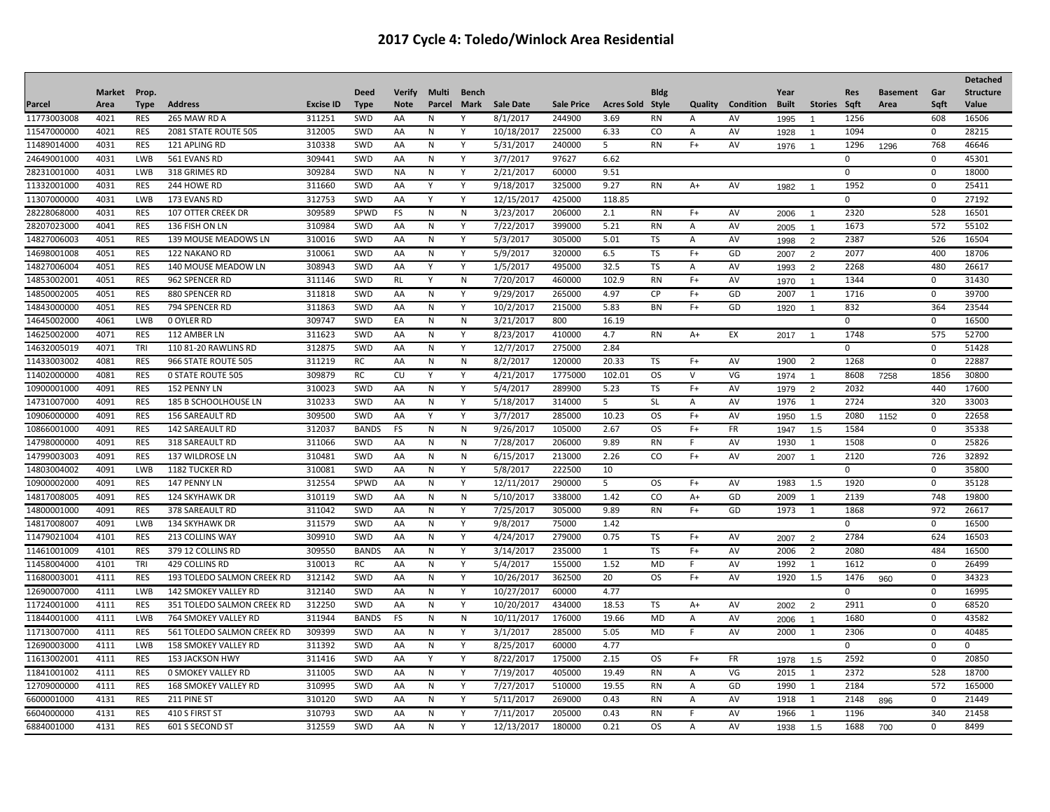|             |        |             |                             |                  |              |               |              |              |                  |                   |                   |             |                |           |              |                |             |                 |              | Detached         |
|-------------|--------|-------------|-----------------------------|------------------|--------------|---------------|--------------|--------------|------------------|-------------------|-------------------|-------------|----------------|-----------|--------------|----------------|-------------|-----------------|--------------|------------------|
|             | Market | Prop.       |                             |                  | <b>Deed</b>  | <b>Verify</b> | Multi        | <b>Bench</b> |                  |                   |                   | <b>Bldg</b> |                |           | Year         |                | <b>Res</b>  | <b>Basement</b> | Gar          | <b>Structure</b> |
| Parcel      | Area   | <b>Type</b> | <b>Address</b>              | <b>Excise ID</b> | <b>Type</b>  | <b>Note</b>   | Parcel       | <b>Mark</b>  | <b>Sale Date</b> | <b>Sale Price</b> | <b>Acres Sold</b> | Style       | <b>Quality</b> | Condition | <b>Built</b> | <b>Stories</b> | Saft        | Area            | Saft         | Value            |
| 11773003008 | 4021   | <b>RES</b>  | 265 MAW RD A                | 311251           | SWD          | AA            | N            | Υ            | 8/1/2017         | 244900            | 3.69              | <b>RN</b>   | A              | AV        | 1995         |                | 1256        |                 | 608          | 16506            |
| 11547000000 | 4021   | <b>RES</b>  | 2081 STATE ROUTE 505        | 312005           | SWD          | AA            | $\mathsf{N}$ | Y            | 10/18/2017       | 225000            | 6.33              | CO          | Α              | AV        | 1928         | $\overline{1}$ | 1094        |                 | $\mathbf 0$  | 28215            |
| 11489014000 | 4031   | <b>RES</b>  | 121 APLING RD               | 310338           | SWD          | AA            | N            | Y            | 5/31/2017        | 240000            | 5                 | <b>RN</b>   | $F+$           | AV        | 1976         | $\overline{1}$ | 1296        | 1296            | 768          | 46646            |
| 24649001000 | 4031   | LWB         | 561 EVANS RD                | 309441           | SWD          | AA            | N            | Y            | 3/7/2017         | 97627             | 6.62              |             |                |           |              |                | 0           |                 | $\mathbf 0$  | 45301            |
| 28231001000 | 4031   | <b>LWB</b>  | 318 GRIMES RD               | 309284           | SWD          | <b>NA</b>     | N            | Y            | 2/21/2017        | 60000             | 9.51              |             |                |           |              |                | 0           |                 | $\mathbf 0$  | 18000            |
| 11332001000 | 4031   | <b>RES</b>  | 244 HOWE RD                 | 311660           | SWD          | AA            | Y            | Y            | 9/18/2017        | 325000            | 9.27              | <b>RN</b>   | $A+$           | AV        | 1982         |                | 1952        |                 | $\mathbf 0$  | 25411            |
| 11307000000 | 4031   | <b>LWB</b>  | 173 EVANS RD                | 312753           | SWD          | AA            | Y            | Y            | 12/15/2017       | 425000            | 118.85            |             |                |           |              |                | $\mathbf 0$ |                 | $\mathbf 0$  | 27192            |
| 28228068000 | 4031   | <b>RES</b>  | 107 OTTER CREEK DR          | 309589           | SPWD         | FS            | $\mathsf{N}$ | N            | 3/23/2017        | 206000            | 2.1               | <b>RN</b>   | $F+$           | AV        | 2006         | $\overline{1}$ | 2320        |                 | 528          | 16501            |
| 28207023000 | 4041   | <b>RES</b>  | 136 FISH ON LN              | 310984           | SWD          | AA            | N            | Υ            | 7/22/2017        | 399000            | 5.21              | <b>RN</b>   | Α              | AV        | 2005         | $\overline{1}$ | 1673        |                 | 572          | 55102            |
| 14827006003 | 4051   | <b>RES</b>  | 139 MOUSE MEADOWS LN        | 310016           | SWD          | AA            | N            | Y            | 5/3/2017         | 305000            | 5.01              | <b>TS</b>   | $\overline{A}$ | AV        | 1998         | $\overline{2}$ | 2387        |                 | 526          | 16504            |
| 14698001008 | 4051   | <b>RES</b>  | <b>122 NAKANO RD</b>        | 310061           | SWD          | AA            | N            | Y            | 5/9/2017         | 320000            | 6.5               | TS          | $F+$           | GD        | 2007         | $\overline{2}$ | 2077        |                 | 400          | 18706            |
| 14827006004 | 4051   | <b>RES</b>  | 140 MOUSE MEADOW LN         | 308943           | SWD          | AA            | N            | Y            | 1/5/2017         | 495000            | 32.5              | TS          | Α              | AV        | 1993         | $\overline{2}$ | 2268        |                 | 480          | 26617            |
| 14853002001 | 4051   | <b>RES</b>  | 962 SPENCER RD              | 311146           | SWD          | <b>RL</b>     | Y            | N            | 7/20/2017        | 460000            | 102.9             | <b>RN</b>   | $F+$           | AV        | 1970         | $\overline{1}$ | 1344        |                 | $\Omega$     | 31430            |
| 14850002005 | 4051   | <b>RES</b>  | 880 SPENCER RD              | 311818           | SWD          | AA            | N            | Y            | 9/29/2017        | 265000            | 4.97              | CP          | $F+$           | GD        | 2007         | 1              | 1716        |                 | $\mathbf{0}$ | 39700            |
| 14843000000 | 4051   | <b>RES</b>  | 794 SPENCER RD              | 311863           | SWD          | AA            | N            | Y            | 10/2/2017        | 215000            | 5.83              | BN          | $F+$           | GD        | 1920         | $\overline{1}$ | 832         |                 | 364          | 23544            |
| 14645002000 | 4061   | LWB         | <b>0 OYLER RD</b>           | 309747           | SWD          | EA            | N            | N            | 3/21/2017        | 800               | 16.19             |             |                |           |              |                | 0           |                 | $\mathbf{0}$ | 16500            |
| 14625002000 | 4071   | <b>RES</b>  | 112 AMBER LN                | 311623           | SWD          | AA            | $\mathsf{N}$ | Y            | 8/23/2017        | 410000            | 4.7               | <b>RN</b>   | A+             | EX        | 2017         | $\overline{1}$ | 1748        |                 | 575          | 52700            |
| 14632005019 | 4071   | TRI         | 110 81-20 RAWLINS RD        | 312875           | SWD          | AA            | N            | Y            | 12/7/2017        | 275000            | 2.84              |             |                |           |              |                | 0           |                 | 0            | 51428            |
| 11433003002 | 4081   | <b>RES</b>  | 966 STATE ROUTE 505         | 311219           | RC           | AA            | N            | N            | 8/2/2017         | 120000            | 20.33             | TS          | F+             | AV        | 1900         | $\overline{2}$ | 1268        |                 | $\mathbf 0$  | 22887            |
| 11402000000 | 4081   | <b>RES</b>  | <b>0 STATE ROUTE 505</b>    | 309879           | RC           | CU            | Y            | Y            | 4/21/2017        | 1775000           | 102.01            | <b>OS</b>   | v              | VG        | 1974         | $\overline{1}$ | 8608        | 7258            | 1856         | 30800            |
| 10900001000 | 4091   | <b>RES</b>  | 152 PENNY LN                | 310023           | SWD          | AA            | N            | Y            | 5/4/2017         | 289900            | 5.23              | TS          | $F+$           | AV        | 1979         | $\overline{2}$ | 2032        |                 | 440          | 17600            |
| 14731007000 | 4091   | <b>RES</b>  | 185 B SCHOOLHOUSE LN        | 310233           | SWD          | AA            | $\mathsf{N}$ | Y            | 5/18/2017        | 314000            | 5                 | <b>SL</b>   | Α              | AV        | 1976         | 1              | 2724        |                 | 320          | 33003            |
| 10906000000 | 4091   | <b>RES</b>  | 156 SAREAULT RD             | 309500           | SWD          | AA            | Y            | Y            | 3/7/2017         | 285000            | 10.23             | <b>OS</b>   | $F+$           | AV        | 1950         | 1.5            | 2080        | 1152            | 0            | 22658            |
| 10866001000 | 4091   | <b>RES</b>  | <b>142 SAREAULT RD</b>      | 312037           | <b>BANDS</b> | FS            | N            | N            | 9/26/2017        | 105000            | 2.67              | OS.         | $F+$           | <b>FR</b> | 1947         | 1.5            | 1584        |                 | $\mathbf 0$  | 35338            |
| 14798000000 | 4091   | <b>RES</b>  | <b>318 SAREAULT RD</b>      | 311066           | SWD          | AA            | $\mathsf{N}$ | N            | 7/28/2017        | 206000            | 9.89              | <b>RN</b>   | F              | AV        | 1930         | 1              | 1508        |                 | $\mathbf 0$  | 25826            |
| 14799003003 | 4091   | <b>RES</b>  | 137 WILDROSE LN             | 310481           | SWD          | AA            | N            | N            | 6/15/2017        | 213000            | 2.26              | CO          | $F+$           | AV        | 2007         |                | 2120        |                 | 726          | 32892            |
| 14803004002 | 4091   | <b>LWB</b>  | 1182 TUCKER RD              | 310081           | SWD          | AA            | ${\sf N}$    | Y            | 5/8/2017         | 222500            | 10                |             |                |           |              |                | $\mathbf 0$ |                 | $\mathbf 0$  | 35800            |
| 10900002000 | 4091   | <b>RES</b>  | 147 PENNY LN                | 312554           | SPWD         | AA            | $\mathsf{N}$ | Y            | 12/11/2017       | 290000            | 5                 | <b>OS</b>   | $F+$           | AV        | 1983         | 1.5            | 1920        |                 | $\mathbf 0$  | 35128            |
| 14817008005 | 4091   | <b>RES</b>  | <b>124 SKYHAWK DR</b>       | 310119           | SWD          | AA            | N            | N            | 5/10/2017        | 338000            | 1.42              | CO          | $A+$           | GD        | 2009         | 1              | 2139        |                 | 748          | 19800            |
| 14800001000 | 4091   | <b>RES</b>  | <b>378 SAREAULT RD</b>      | 311042           | SWD          | AA            | N            | Y            | 7/25/2017        | 305000            | 9.89              | <b>RN</b>   | F+             | GD        | 1973         | 1              | 1868        |                 | 972          | 26617            |
| 14817008007 | 4091   | LWB         | <b>134 SKYHAWK DR</b>       | 311579           | SWD          | AA            | N            | Y            | 9/8/2017         | 75000             | 1.42              |             |                |           |              |                | 0           |                 | $\mathbf 0$  | 16500            |
| 11479021004 | 4101   | <b>RES</b>  | 213 COLLINS WAY             | 309910           | SWD          | AA            | N            | Y            | 4/24/2017        | 279000            | 0.75              | <b>TS</b>   | $F+$           | AV        | 2007         | $\overline{2}$ | 2784        |                 | 624          | 16503            |
| 11461001009 | 4101   | <b>RES</b>  | 379 12 COLLINS RD           | 309550           | <b>BANDS</b> | AA            | N            | Y            | 3/14/2017        | 235000            | 1                 | TS          | $F+$           | AV        | 2006         | $\overline{2}$ | 2080        |                 | 484          | 16500            |
| 11458004000 | 4101   | TRI         | 429 COLLINS RD              | 310013           | RC           | AA            | N            | Y            | 5/4/2017         | 155000            | 1.52              | <b>MD</b>   | F.             | AV        | 1992         | 1              | 1612        |                 | $\mathbf 0$  | 26499            |
| 11680003001 | 4111   | <b>RES</b>  | 193 TOLEDO SALMON CREEK RD  | 312142           | SWD          | AA            | N            | Y            | 10/26/2017       | 362500            | 20                | <b>OS</b>   | $F+$           | AV        | 1920         | 1.5            | 1476        | 960             | $\mathbf 0$  | 34323            |
| 12690007000 | 4111   | LWB         | 142 SMOKEY VALLEY RD        | 312140           | SWD          | AA            | N            | Y            | 10/27/2017       | 60000             | 4.77              |             |                |           |              |                | 0           |                 | $\mathbf 0$  | 16995            |
| 11724001000 | 4111   | <b>RES</b>  | 351 TOLEDO SALMON CREEK RD  | 312250           | SWD          | AA            | $\mathsf{N}$ | Y            | 10/20/2017       | 434000            | 18.53             | <b>TS</b>   | A+             | AV        | 2002         | $\overline{2}$ | 2911        |                 | $\mathbf 0$  | 68520            |
| 11844001000 | 4111   | LWB         | 764 SMOKEY VALLEY RD        | 311944           | <b>BANDS</b> | FS            | N            | N            | 10/11/2017       | 176000            | 19.66             | MD          | Α              | AV        | 2006         | $\overline{1}$ | 1680        |                 | $\mathbf 0$  | 43582            |
| 11713007000 | 4111   | <b>RES</b>  | 561 TOLEDO SALMON CREEK RD  | 309399           | SWD          | AA            | N            | Υ            | 3/1/2017         | 285000            | 5.05              | MD          | F              | AV        | 2000         | 1              | 2306        |                 | $\mathbf 0$  | 40485            |
| 12690003000 | 4111   | LWB         | <b>158 SMOKEY VALLEY RD</b> | 311392           | SWD          | AA            | N            | Y            | 8/25/2017        | 60000             | 4.77              |             |                |           |              |                | $\Omega$    |                 | $\mathbf 0$  | $\Omega$         |
| 11613002001 | 4111   | <b>RES</b>  | <b>153 JACKSON HWY</b>      | 311416           | SWD          | AA            | Y            | Y            | 8/22/2017        | 175000            | 2.15              | OS.         | $F+$           | FR        | 1978         | 1.5            | 2592        |                 | $\mathbf 0$  | 20850            |
| 11841001002 | 4111   | <b>RES</b>  | <b>0 SMOKEY VALLEY RD</b>   | 311005           | SWD          | AA            | N            | Y            | 7/19/2017        | 405000            | 19.49             | <b>RN</b>   | Α              | VG        | 2015         | 1              | 2372        |                 | 528          | 18700            |
| 12709000000 | 4111   | <b>RES</b>  | 168 SMOKEY VALLEY RD        | 310995           | SWD          | AA            | N            | Y            | 7/27/2017        | 510000            | 19.55             | RN          | Α              | GD        | 1990         | 1              | 2184        |                 | 572          | 165000           |
| 6600001000  | 4131   | <b>RES</b>  | <b>211 PINE ST</b>          | 310120           | SWD          | AA            | N            | Y            | 5/11/2017        | 269000            | 0.43              | <b>RN</b>   | Α              | AV        | 1918         | 1              | 2148        | 896             | $\mathbf 0$  | 21449            |
| 6604000000  | 4131   | <b>RES</b>  | 410 S FIRST ST              | 310793           | SWD          | AA            | N            | Y            | 7/11/2017        | 205000            | 0.43              | <b>RN</b>   | F              | AV        | 1966         | $\mathbf{1}$   | 1196        |                 | 340          | 21458            |
| 6884001000  | 4131   | <b>RES</b>  | 601 S SECOND ST             | 312559           | SWD          | AA            | N            | Y            | 12/13/2017       | 180000            | 0.21              | <b>OS</b>   | А              | AV        | 1938         | 1.5            | 1688        | 700             | $\Omega$     | 8499             |
|             |        |             |                             |                  |              |               |              |              |                  |                   |                   |             |                |           |              |                |             |                 |              |                  |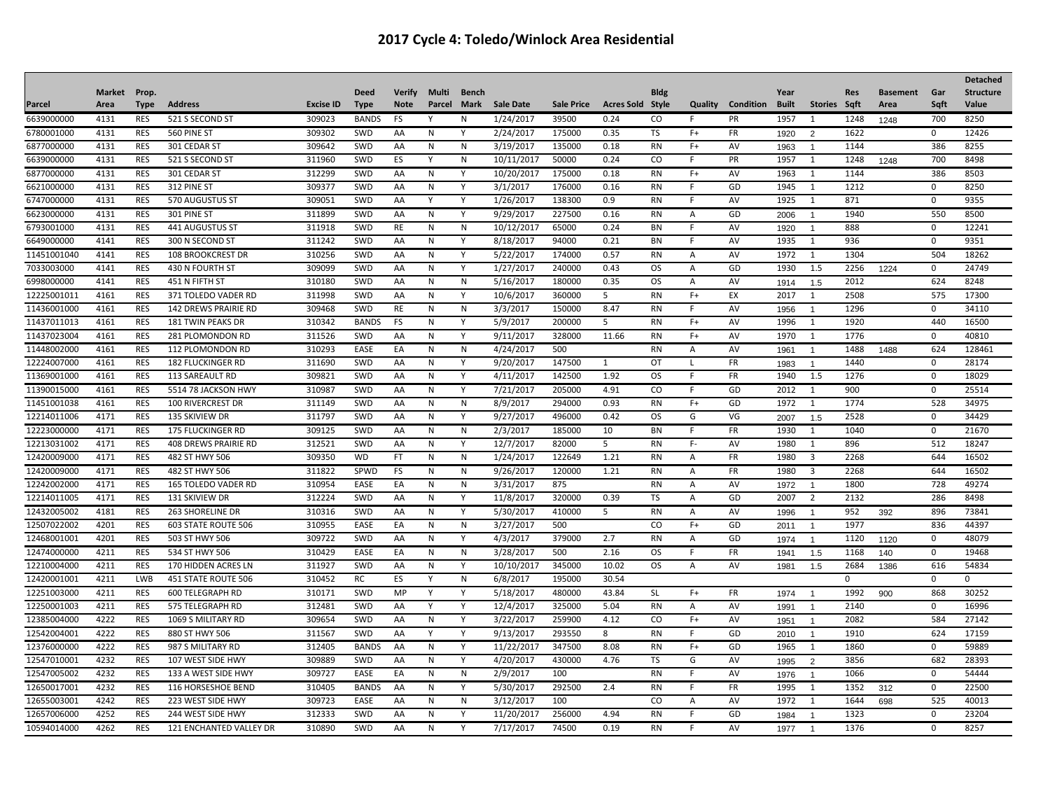|             |              |             |                                |                  |              |               |              |              |                  |                   |                         |             |         |           |              |                         |             |                 |              | <b>Detached</b>  |
|-------------|--------------|-------------|--------------------------------|------------------|--------------|---------------|--------------|--------------|------------------|-------------------|-------------------------|-------------|---------|-----------|--------------|-------------------------|-------------|-----------------|--------------|------------------|
|             | Market Prop. |             |                                |                  | <b>Deed</b>  | <b>Verify</b> | Multi        | Bench        |                  |                   |                         | <b>Bldg</b> |         |           | Year         |                         | <b>Res</b>  | <b>Basement</b> | Gar          | <b>Structure</b> |
| Parcel      | Area         | <b>Type</b> | <b>Address</b>                 | <b>Excise ID</b> | <b>Type</b>  | <b>Note</b>   | Parcel       | Mark         | <b>Sale Date</b> | <b>Sale Price</b> | <b>Acres Sold Style</b> |             | Quality | Condition | <b>Built</b> | Stories Sqft            |             | Area            | Saft         | Value            |
| 6639000000  | 4131         | <b>RES</b>  | 521 S SECOND ST                | 309023           | <b>BANDS</b> | FS            | Y            | N            | 1/24/2017        | 39500             | 0.24                    | CO          | .F      | <b>PR</b> | 1957         | -1                      | 1248        | 1248            | 700          | 8250             |
| 6780001000  | 4131         | <b>RES</b>  | 560 PINE ST                    | 309302           | SWD          | AA            | N            | Y            | 2/24/2017        | 175000            | 0.35                    | TS          | $F+$    | FR        | 1920         | 2                       | 1622        |                 | $\mathbf{0}$ | 12426            |
| 6877000000  | 4131         | <b>RES</b>  | 301 CEDAR ST                   | 309642           | SWD          | AA            | N            | $\mathsf{N}$ | 3/19/2017        | 135000            | 0.18                    | <b>RN</b>   | $F+$    | AV        | 1963         | $\overline{\mathbf{1}}$ | 1144        |                 | 386          | 8255             |
| 6639000000  | 4131         | <b>RES</b>  | 521 S SECOND ST                | 311960           | SWD          | ES            | ٧            | N            | 10/11/2017       | 50000             | 0.24                    | CO          | F       | PR        | 1957         | 1                       | 1248        | 1248            | 700          | 8498             |
| 6877000000  | 4131         | <b>RES</b>  | 301 CEDAR ST                   | 312299           | SWD          | AA            | N            | Υ            | 10/20/2017       | 175000            | 0.18                    | <b>RN</b>   | $F+$    | AV        | 1963         | 1                       | 1144        |                 | 386          | 8503             |
| 6621000000  | 4131         | RES         | 312 PINE ST                    | 309377           | SWD          | AA            | N            | Υ            | 3/1/2017         | 176000            | 0.16                    | <b>RN</b>   | F       | GD        | 1945         | 1                       | 1212        |                 | $\mathbf{0}$ | 8250             |
| 6747000000  | 4131         | <b>RES</b>  | 570 AUGUSTUS ST                | 309051           | SWD          | AA            | Y            | Υ            | 1/26/2017        | 138300            | 0.9                     | RN          | F       | AV        | 1925         | -1                      | 871         |                 | $\mathbf 0$  | 9355             |
| 6623000000  | 4131         | <b>RES</b>  | 301 PINE ST                    | 311899           | SWD          | AA            | N            | Y            | 9/29/2017        | 227500            | 0.16                    | RN          | Α       | GD        | 2006         | $\overline{1}$          | 1940        |                 | 550          | 8500             |
| 6793001000  | 4131         | <b>RES</b>  | 441 AUGUSTUS ST                | 311918           | SWD          | RE            | N            | N            | 10/12/2017       | 65000             | 0.24                    | BN          | F       | AV        | 1920         | $\overline{1}$          | 888         |                 | $\mathbf{0}$ | 12241            |
| 6649000000  | 4141         | <b>RES</b>  | 300 N SECOND ST                | 311242           | SWD          | AA            | N            | Y            | 8/18/2017        | 94000             | 0.21                    | BN          | F       | AV        | 1935         | 1                       | 936         |                 | $\mathbf{0}$ | 9351             |
| 11451001040 | 4141         | RES         | <b>108 BROOKCREST DR</b>       | 310256           | SWD          | AA            | N            | Y            | 5/22/2017        | 174000            | 0.57                    | RN          | A       | AV        | 1972         | 1                       | 1304        |                 | 504          | 18262            |
| 7033003000  | 4141         | <b>RES</b>  | 430 N FOURTH ST                | 309099           | SWD          | AA            | N            | Y            | 1/27/2017        | 240000            | 0.43                    | <b>OS</b>   | Α       | GD        | 1930         | 1.5                     | 2256        | 1224            | $\mathbf{0}$ | 24749            |
| 6998000000  | 4141         | <b>RES</b>  | 451 N FIFTH ST                 | 310180           | SWD          | AA            | N            | N            | 5/16/2017        | 180000            | 0.35                    | <b>OS</b>   | Α       | AV        | 1914         | 1.5                     | 2012        |                 | 624          | 8248             |
| 12225001011 | 4161         | <b>RES</b>  | 371 TOLEDO VADER RD            | 311998           | SWD          | AA            | $\mathsf{N}$ | Y            | 10/6/2017        | 360000            | 5                       | <b>RN</b>   | $F+$    | EX        | 2017         | 1                       | 2508        |                 | 575          | 17300            |
| 11436001000 | 4161         | <b>RES</b>  | <b>142 DREWS PRAIRIE RD</b>    | 309468           | SWD          | RE            | $\mathsf{N}$ | N            | 3/3/2017         | 150000            | 8.47                    | <b>RN</b>   | F.      | AV        | 1956         | $\overline{1}$          | 1296        |                 | $\mathbf 0$  | 34110            |
| 11437011013 | 4161         | <b>RES</b>  | <b>181 TWIN PEAKS DR</b>       | 310342           | <b>BANDS</b> | FS            | N            | Y            | 5/9/2017         | 200000            | 5                       | RN          | $F+$    | AV        | 1996         | $\overline{1}$          | 1920        |                 | 440          | 16500            |
| 11437023004 | 4161         | <b>RES</b>  | 281 PLOMONDON RD               | 311526           | SWD          | AA            | N            | Y            | 9/11/2017        | 328000            | 11.66                   | <b>RN</b>   | $F+$    | AV        | 1970         | $\overline{1}$          | 1776        |                 | $\Omega$     | 40810            |
| 11448002000 | 4161         | <b>RES</b>  | 112 PLOMONDON RD               | 310293           | EASE         | EA            | N            | N            | 4/24/2017        | 500               |                         | <b>RN</b>   | Α       | AV        | 1961         | -1                      | 1488        | 1488            | 624          | 128461           |
| 12224007000 | 4161         | <b>RES</b>  | <b>182 FLUCKINGER RD</b>       | 311690           | SWD          | AA            | $\mathsf{N}$ | Y            | 9/20/2017        | 147500            | $\mathbf{1}$            | OT          | L       | FR        | 1983         |                         | 1440        |                 | $\mathbf 0$  | 28174            |
| 11369001000 | 4161         | <b>RES</b>  | 113 SAREAULT RD                | 309821           | SWD          | AA            | N            | Y            | 4/11/2017        | 142500            | 1.92                    | <b>OS</b>   | F       | <b>FR</b> | 1940         | 1.5                     | 1276        |                 | $\mathbf 0$  | 18029            |
| 11390015000 | 4161         | <b>RES</b>  | 5514 78 JACKSON HWY            | 310987           | SWD          | AA            | $\mathsf{N}$ | Y            | 7/21/2017        | 205000            | 4.91                    | CO          | F       | GD        | 2012         | 1                       | 900         |                 | $\mathbf 0$  | 25514            |
| 11451001038 | 4161         | <b>RES</b>  | <b>100 RIVERCREST DR</b>       | 311149           | SWD          | AA            | N            | N            | 8/9/2017         | 294000            | 0.93                    | RN          | $F+$    | GD        | 1972         | 1                       | 1774        |                 | 528          | 34975            |
| 12214011006 | 4171         | <b>RES</b>  | <b>135 SKIVIEW DR</b>          | 311797           | SWD          | AA            | N            | Υ            | 9/27/2017        | 496000            | 0.42                    | OS.         | G       | VG        | 2007         | 1.5                     | 2528        |                 | 0            | 34429            |
| 12223000000 | 4171         | <b>RES</b>  | <b>175 FLUCKINGER RD</b>       | 309125           | SWD          | AA            | N            | N            | 2/3/2017         | 185000            | 10                      | BN          |         | <b>FR</b> | 1930         | 1                       | 1040        |                 | 0            | 21670            |
| 12213031002 | 4171         | <b>RES</b>  | <b>408 DREWS PRAIRIE RD</b>    | 312521           | SWD          | AA            | N            | Y            | 12/7/2017        | 82000             | 5                       | <b>RN</b>   | F-      | AV        | 1980         | 1                       | 896         |                 | 512          | 18247            |
| 12420009000 | 4171         | <b>RES</b>  | 482 ST HWY 506                 | 309350           | <b>WD</b>    | FT            | N            | N            | 1/24/2017        | 122649            | 1.21                    | RN          | Α       | FR        | 1980         | 3                       | 2268        |                 | 644          | 16502            |
| 12420009000 | 4171         | <b>RES</b>  | 482 ST HWY 506                 | 311822           | SPWD         | <b>FS</b>     | N            | N            | 9/26/2017        | 120000            | 1.21                    | <b>RN</b>   | Α       | FR        | 1980         | 3                       | 2268        |                 | 644          | 16502            |
| 12242002000 | 4171         | <b>RES</b>  | 165 TOLEDO VADER RD            | 310954           | EASE         | EA            | N            | N            | 3/31/2017        | 875               |                         | RN          | Α       | AV        | 1972         | -1                      | 1800        |                 | 728          | 49274            |
| 12214011005 | 4171         | <b>RES</b>  | 131 SKIVIEW DR                 | 312224           | SWD          | AA            | N            | Υ            | 11/8/2017        | 320000            | 0.39                    | TS          | Α       | GD        | 2007         | $\overline{2}$          | 2132        |                 | 286          | 8498             |
| 12432005002 | 4181         | <b>RES</b>  | <b>263 SHORELINE DR</b>        | 310316           | SWD          | AA            | N            | Y            | 5/30/2017        | 410000            | 5                       | <b>RN</b>   | Α       | AV        | 1996         | $\overline{1}$          | 952         | 392             | 896          | 73841            |
| 12507022002 | 4201         | <b>RES</b>  | 603 STATE ROUTE 506            | 310955           | EASE         | EA            | N            | N            | 3/27/2017        | 500               |                         | CO          | $F+$    | GD        | 2011         | $\overline{1}$          | 1977        |                 | 836          | 44397            |
| 12468001001 | 4201         | RES         | 503 ST HWY 506                 | 309722           | SWD          | AA            | N            | Υ            | 4/3/2017         | 379000            | 2.7                     | RN          | Α       | GD        | 1974         | $\mathbf 1$             | 1120        | 1120            | $\mathbf 0$  | 48079            |
| 12474000000 | 4211         | <b>RES</b>  | 534 ST HWY 506                 | 310429           | EASE         | EA            | N            | N            | 3/28/2017        | 500               | 2.16                    | <b>OS</b>   | F       | FR        | 1941         | 1.5                     | 1168        | 140             | $\mathbf{0}$ | 19468            |
| 12210004000 | 4211         | <b>RES</b>  | 170 HIDDEN ACRES LN            | 311927           | SWD          | AA            | N            | Υ            | 10/10/2017       | 345000            | 10.02                   | <b>OS</b>   | Α       | AV        | 1981         | 1.5                     | 2684        | 1386            | 616          | 54834            |
| 12420001001 | 4211         | LWB         | 451 STATE ROUTE 506            | 310452           | <b>RC</b>    | ES            | Y            | $\mathsf{N}$ | 6/8/2017         | 195000            | 30.54                   |             |         |           |              |                         | $\mathbf 0$ |                 | $\mathbf 0$  | 0                |
| 12251003000 | 4211         | <b>RES</b>  | <b>600 TELEGRAPH RD</b>        | 310171           | SWD          | MP            | Y            | Y            | 5/18/2017        | 480000            | 43.84                   | <b>SL</b>   | $F+$    | FR        | 1974         | $\overline{1}$          | 1992        | 900             | 868          | 30252            |
| 12250001003 | 4211         | <b>RES</b>  | 575 TELEGRAPH RD               | 312481           | SWD          | AA            | Y            | Υ            | 12/4/2017        | 325000            | 5.04                    | <b>RN</b>   | Α       | AV        | 1991         | $\overline{1}$          | 2140        |                 | 0            | 16996            |
| 12385004000 | 4222         | <b>RES</b>  | 1069 S MILITARY RD             | 309654           | SWD          | AA            | N            | Y            | 3/22/2017        | 259900            | 4.12                    | CO          | $F+$    | AV        | 1951         | $\overline{1}$          | 2082        |                 | 584          | 27142            |
| 12542004001 | 4222         | <b>RES</b>  | 880 ST HWY 506                 | 311567           | SWD          | AA            | Y            | Y            | 9/13/2017        | 293550            | 8                       | RN          | F       | GD        | 2010         | $\overline{1}$          | 1910        |                 | 624          | 17159            |
| 12376000000 | 4222         | <b>RES</b>  | 987 S MILITARY RD              | 312405           | <b>BANDS</b> | AA            | N            | Y            | 11/22/2017       | 347500            | 8.08                    | RN          | $F+$    | GD        | 1965         | 1                       | 1860        |                 | 0            | 59889            |
| 12547010001 | 4232         | <b>RES</b>  | 107 WEST SIDE HWY              | 309889           | SWD          | AA            | N            | Y            | 4/20/2017        | 430000            | 4.76                    | TS          | G       | AV        | 1995         | $\overline{2}$          | 3856        |                 | 682          | 28393            |
| 12547005002 | 4232         | <b>RES</b>  | 133 A WEST SIDE HWY            | 309727           | EASE         | EA            | N            | N            | 2/9/2017         | 100               |                         | <b>RN</b>   | F       | AV        | 1976         | $\overline{\mathbf{1}}$ | 1066        |                 | $\mathbf 0$  | 54444            |
| 12650017001 | 4232         | <b>RES</b>  | <b>116 HORSESHOE BEND</b>      | 310405           | <b>BANDS</b> | AA            | N            | Y            | 5/30/2017        | 292500            | 2.4                     | RN          | F       | FR        | 1995         | 1                       | 1352        | 312             | 0            | 22500            |
| 12655003001 | 4242         | <b>RES</b>  | 223 WEST SIDE HWY              | 309723           | EASE         | AA            | N            | N            | 3/12/2017        | 100               |                         | CO          | Α       | AV        | 1972         | 1                       | 1644        | 698             | 525          | 40013            |
| 12657006000 | 4252         | <b>RES</b>  | 244 WEST SIDE HWY              | 312333           | SWD          | AA            | N            | Y            | 11/20/2017       | 256000            | 4.94                    | RN          | F       | GD        | 1984         | $\overline{1}$          | 1323        |                 | $\mathbf 0$  | 23204            |
| 10594014000 | 4262         | <b>RES</b>  | <b>121 ENCHANTED VALLEY DR</b> | 310890           | SWD          | AA            | N            | Y            | 7/17/2017        | 74500             | 0.19                    | <b>RN</b>   | F       | AV        | 1977         | -1                      | 1376        |                 | $\Omega$     | 8257             |
|             |              |             |                                |                  |              |               |              |              |                  |                   |                         |             |         |           |              |                         |             |                 |              |                  |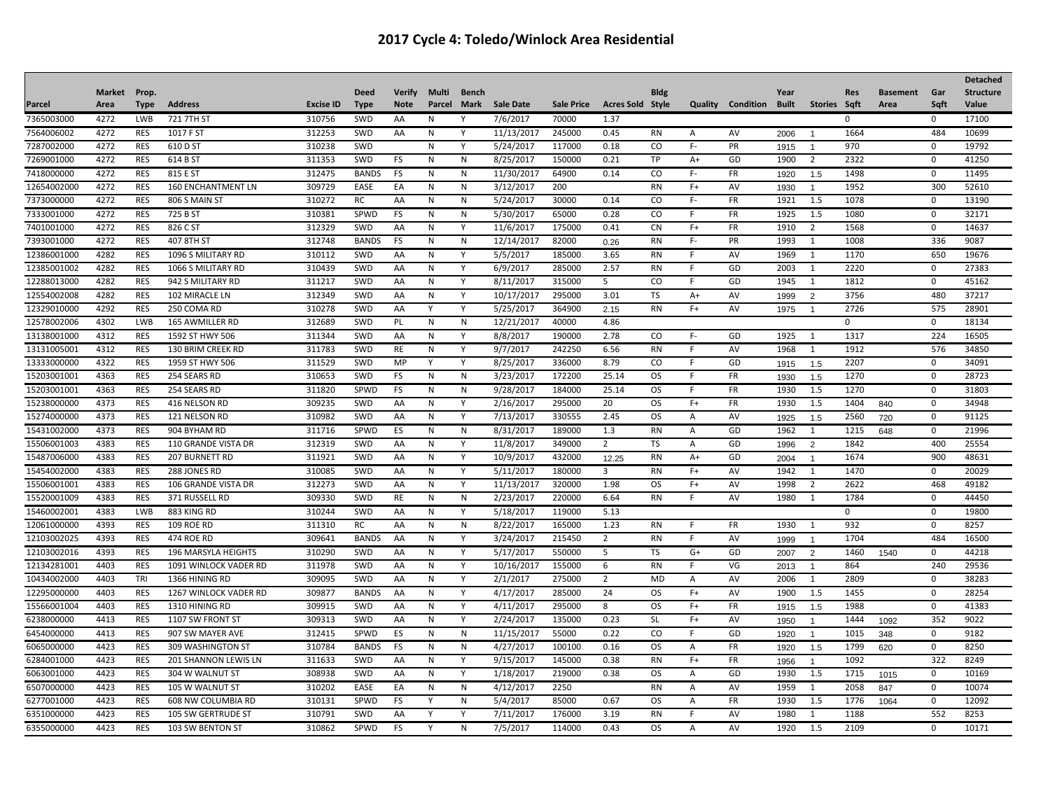|             |              |             |                        |                  |              |               |        |           |                  |                   |                         |             |         |                        |      |                |             |                 |              | <b>Detached</b>  |
|-------------|--------------|-------------|------------------------|------------------|--------------|---------------|--------|-----------|------------------|-------------------|-------------------------|-------------|---------|------------------------|------|----------------|-------------|-----------------|--------------|------------------|
|             | Market Prop. |             |                        |                  | <b>Deed</b>  | <b>Verify</b> | Multi  | Bench     |                  |                   |                         | <b>Bldg</b> |         |                        | Year |                | <b>Res</b>  | <b>Basement</b> | Gar          | <b>Structure</b> |
| Parcel      | Area         | <b>Type</b> | <b>Address</b>         | <b>Excise ID</b> | <b>Type</b>  | <b>Note</b>   | Parcel | Mark      | <b>Sale Date</b> | <b>Sale Price</b> | <b>Acres Sold Style</b> |             | Quality | <b>Condition Built</b> |      | Stories Sqft   |             | Area            | Sqft         | Value            |
| 7365003000  | 4272         | <b>LWB</b>  | 721 7TH ST             | 310756           | SWD          | AA            | N      | Y         | 7/6/2017         | 70000             | 1.37                    |             |         |                        |      |                | 0           |                 | 0            | 17100            |
| 7564006002  | 4272         | <b>RES</b>  | 1017 F ST              | 312253           | SWD          | AA            | N      | Y         | 11/13/2017       | 245000            | 0.45                    | <b>RN</b>   | Α       | AV                     | 2006 | - 1            | 1664        |                 | 484          | 10699            |
| 7287002000  | 4272         | <b>RES</b>  | 610 D ST               | 310238           | SWD          |               | N      | Y         | 5/24/2017        | 117000            | 0.18                    | CO          | F-      | PR                     | 1915 | $\overline{1}$ | 970         |                 | 0            | 19792            |
| 7269001000  | 4272         | <b>RES</b>  | 614 B ST               | 311353           | SWD          | FS            | N      | N         | 8/25/2017        | 150000            | 0.21                    | TP          | $A+$    | GD                     | 1900 | $\overline{2}$ | 2322        |                 | $\mathbf 0$  | 41250            |
| 7418000000  | 4272         | <b>RES</b>  | 815 E ST               | 312475           | <b>BANDS</b> | <b>FS</b>     | N      | N         | 11/30/2017       | 64900             | 0.14                    | <b>CO</b>   | F-      | <b>FR</b>              | 1920 | 1.5            | 1498        |                 | $\mathbf{0}$ | 11495            |
| 12654002000 | 4272         | <b>RES</b>  | 160 ENCHANTMENT LN     | 309729           | EASE         | EA            | N      | N         | 3/12/2017        | 200               |                         | <b>RN</b>   | $F+$    | AV                     | 1930 | $\overline{1}$ | 1952        |                 | 300          | 52610            |
| 7373000000  | 4272         | <b>RES</b>  | 806 S MAIN ST          | 310272           | RC           | AA            | N      | N         | 5/24/2017        | 30000             | 0.14                    | CO          | F-      | <b>FR</b>              | 1921 | 1.5            | 1078        |                 | $\mathbf{0}$ | 13190            |
| 7333001000  | 4272         | <b>RES</b>  | 725 B ST               | 310381           | SPWD         | FS            | N      | N         | 5/30/2017        | 65000             | 0.28                    | CO          | F       | <b>FR</b>              | 1925 | 1.5            | 1080        |                 | $\mathbf{0}$ | 32171            |
| 7401001000  | 4272         | <b>RES</b>  | 826 C ST               | 312329           | SWD          | AA            | N      | Y         | 11/6/2017        | 175000            | 0.41                    | <b>CN</b>   | $F+$    | <b>FR</b>              | 1910 | $\overline{2}$ | 1568        |                 | $\mathbf 0$  | 14637            |
| 7393001000  | 4272         | <b>RES</b>  | 407 8TH ST             | 312748           | <b>BANDS</b> | FS            | N      | N         | 12/14/2017       | 82000             | 0.26                    | <b>RN</b>   | F-      | <b>PR</b>              | 1993 | 1              | 1008        |                 | 336          | 9087             |
| 12386001000 | 4282         | <b>RES</b>  | 1096 S MILITARY RD     | 310112           | SWD          | AA            | N      | Υ         | 5/5/2017         | 185000            | 3.65                    | <b>RN</b>   | F       | AV                     | 1969 | $\mathbf{1}$   | 1170        |                 | 650          | 19676            |
| 12385001002 | 4282         | <b>RES</b>  | 1066 S MILITARY RD     | 310439           | SWD          | AA            | N      | Y         | 6/9/2017         | 285000            | 2.57                    | <b>RN</b>   | F       | GD                     | 2003 | 1              | 2220        |                 | $\mathbf 0$  | 27383            |
| 12288013000 | 4282         | <b>RES</b>  | 942 S MILITARY RD      | 311217           | SWD          | AA            | N      | Υ         | 8/11/2017        | 315000            | 5                       | CO          | F.      | GD                     | 1945 | 1              | 1812        |                 | $\Omega$     | 45162            |
| 12554002008 | 4282         | <b>RES</b>  | 102 MIRACLE LN         | 312349           | SWD          | AA            | N      | Y         | 10/17/2017       | 295000            | 3.01                    | TS          | $A+$    | AV                     | 1999 | $\overline{2}$ | 3756        |                 | 480          | 37217            |
| 12329010000 | 4292         | <b>RES</b>  | 250 COMA RD            | 310278           | SWD          | AA            | Y      | Y         | 5/25/2017        | 364900            | 2.15                    | <b>RN</b>   | $F+$    | AV                     | 1975 | $\overline{1}$ | 2726        |                 | 575          | 28901            |
| 12578002006 | 4302         | <b>LWB</b>  | <b>165 AWMILLER RD</b> | 312689           | SWD          | PL            | N      | N         | 12/21/2017       | 40000             | 4.86                    |             |         |                        |      |                | $\mathbf 0$ |                 | $\mathbf 0$  | 18134            |
| 13138001000 | 4312         | <b>RES</b>  | 1592 ST HWY 506        | 311344           | SWD          | AA            | N      | Y         | 8/8/2017         | 190000            | 2.78                    | CO          | F-      | GD                     | 1925 | 1              | 1317        |                 | 224          | 16505            |
| 13131005001 | 4312         | <b>RES</b>  | 130 BRIM CREEK RD      | 311783           | SWD          | RE            | N      | Y         | 9/7/2017         | 242250            | 6.56                    | RN          | F       | AV                     | 1968 | 1              | 1912        |                 | 576          | 34850            |
| 13333000000 | 4322         | <b>RES</b>  | 1959 ST HWY 506        | 311529           | SWD          | MP            | Y      | Y         | 8/25/2017        | 336000            | 8.79                    | CO          | F.      | GD                     | 1915 | 1.5            | 2207        |                 | $\mathbf 0$  | 34091            |
| 15203001001 | 4363         | <b>RES</b>  | 254 SEARS RD           | 310653           | SWD          | FS            | N      | ${\sf N}$ | 3/23/2017        | 172200            | 25.14                   | <b>OS</b>   | F       | FR                     | 1930 | 1.5            | 1270        |                 | $\mathbf 0$  | 28723            |
| 15203001001 | 4363         | <b>RES</b>  | 254 SEARS RD           | 311820           | SPWD         | FS            | N      | ${\sf N}$ | 9/28/2017        | 184000            | 25.14                   | <b>OS</b>   | E       | <b>FR</b>              | 1930 | 1.5            | 1270        |                 | $\mathbf 0$  | 31803            |
| 15238000000 | 4373         | <b>RES</b>  | 416 NELSON RD          | 309235           | SWD          | AA            | N      | Y         | 2/16/2017        | 295000            | 20                      | <b>OS</b>   | $F+$    | FR                     | 1930 | 1.5            | 1404        | 840             | 0            | 34948            |
| 15274000000 | 4373         | <b>RES</b>  | 121 NELSON RD          | 310982           | SWD          | AA            | N      | Y         | 7/13/2017        | 330555            | 2.45                    | <b>OS</b>   | Α       | AV                     | 1925 | 1.5            | 2560        | 720             | $\mathbf 0$  | 91125            |
| 15431002000 | 4373         | <b>RES</b>  | 904 BYHAM RD           | 311716           | SPWD         | ES            | N      | N         | 8/31/2017        | 189000            | 1.3                     | <b>RN</b>   | A       | GD                     | 1962 | 1              | 1215        | 648             | $\mathbf 0$  | 21996            |
| 15506001003 | 4383         | <b>RES</b>  | 110 GRANDE VISTA DR    | 312319           | SWD          | AA            | N      | Y         | 11/8/2017        | 349000            | $\overline{2}$          | <b>TS</b>   | A       | GD                     | 1996 | $\overline{2}$ | 1842        |                 | 400          | 25554            |
| 15487006000 | 4383         | <b>RES</b>  | <b>207 BURNETT RD</b>  | 311921           | SWD          | AA            | N      | Υ         | 10/9/2017        | 432000            | 12.25                   | <b>RN</b>   | A+      | GD                     | 2004 | $\overline{1}$ | 1674        |                 | 900          | 48631            |
| 15454002000 | 4383         | <b>RES</b>  | 288 JONES RD           | 310085           | SWD          | AA            | N      | Y         | 5/11/2017        | 180000            | 3                       | <b>RN</b>   | $F+$    | AV                     | 1942 | 1              | 1470        |                 | $\mathbf{0}$ | 20029            |
| 15506001001 | 4383         | <b>RES</b>  | 106 GRANDE VISTA DR    | 312273           | SWD          | AA            | N      | Υ         | 11/13/2017       | 320000            | 1.98                    | OS.         | $F+$    | AV                     | 1998 | $\overline{2}$ | 2622        |                 | 468          | 49182            |
| 15520001009 | 4383         | <b>RES</b>  | 371 RUSSELL RD         | 309330           | SWD          | RE            | N      | N         | 2/23/2017        | 220000            | 6.64                    | <b>RN</b>   | E       | AV                     | 1980 | 1              | 1784        |                 | $\mathbf{0}$ | 44450            |
| 15460002001 | 4383         | LWB         | 883 KING RD            | 310244           | SWD          | AA            | N      | Y         | 5/18/2017        | 119000            | 5.13                    |             |         |                        |      |                | $\mathbf 0$ |                 | $\mathbf 0$  | 19800            |
| 12061000000 | 4393         | <b>RES</b>  | 109 ROE RD             | 311310           | <b>RC</b>    | AA            | N      | N         | 8/22/2017        | 165000            | 1.23                    | <b>RN</b>   | F       | <b>FR</b>              | 1930 | 1              | 932         |                 | $\mathbf{0}$ | 8257             |
| 12103002025 | 4393         | <b>RES</b>  | 474 ROE RD             | 309641           | <b>BANDS</b> | AA            | N      | Υ         | 3/24/2017        | 215450            | $\overline{2}$          | <b>RN</b>   | F       | AV                     | 1999 | $\overline{1}$ | 1704        |                 | 484          | 16500            |
| 12103002016 | 4393         | <b>RES</b>  | 196 MARSYLA HEIGHTS    | 310290           | SWD          | AA            | N      | Υ         | 5/17/2017        | 550000            | 5                       | TS          | G+      | GD                     | 2007 | 2              | 1460        | 1540            | $\mathbf 0$  | 44218            |
| 12134281001 | 4403         | <b>RES</b>  | 1091 WINLOCK VADER RD  | 311978           | SWD          | AA            | N      | Y         | 10/16/2017       | 155000            | 6                       | <b>RN</b>   | F.      | VG                     | 2013 | $\overline{1}$ | 864         |                 | 240          | 29536            |
| 10434002000 | 4403         | TRI         | 1366 HINING RD         | 309095           | SWD          | AA            | N      | Y         | 2/1/2017         | 275000            | 2                       | MD          | Α       | AV                     | 2006 | 1              | 2809        |                 | $\mathbf{0}$ | 38283            |
| 12295000000 | 4403         | <b>RES</b>  | 1267 WINLOCK VADER RD  | 309877           | <b>BANDS</b> | AA            | N      | Y         | 4/17/2017        | 285000            | 24                      | <b>OS</b>   | $F+$    | AV                     | 1900 | 1.5            | 1455        |                 | $\mathbf 0$  | 28254            |
| 15566001004 | 4403         | <b>RES</b>  | 1310 HINING RD         | 309915           | SWD          | AA            | N      | Υ         | 4/11/2017        | 295000            | $\overline{8}$          | <b>OS</b>   | $F+$    | FR                     | 1915 | 1.5            | 1988        |                 | $\mathbf 0$  | 41383            |
| 6238000000  | 4413         | <b>RES</b>  | 1107 SW FRONT ST       | 309313           | SWD          | AA            | N      | Y         | 2/24/2017        | 135000            | 0.23                    | <b>SL</b>   | $F+$    | AV                     | 1950 | $\overline{1}$ | 1444        | 1092            | 352          | 9022             |
| 6454000000  | 4413         | <b>RES</b>  | 907 SW MAYER AVE       | 312415           | SPWD         | ES            | N      | N         | 11/15/2017       | 55000             | 0.22                    | CO          | F.      | GD                     | 1920 | $\overline{1}$ | 1015        | 348             | $\mathbf 0$  | 9182             |
| 6065000000  | 4423         | <b>RES</b>  | 309 WASHINGTON ST      | 310784           | <b>BANDS</b> | <b>FS</b>     | N      | N         | 4/27/2017        | 100100            | 0.16                    | <b>OS</b>   | А       | <b>FR</b>              | 1920 | 1.5            | 1799        | 620             | $\mathbf{0}$ | 8250             |
| 6284001000  | 4423         | <b>RES</b>  | 201 SHANNON LEWIS LN   | 311633           | SWD          | AA            | N      | Υ         | 9/15/2017        | 145000            | 0.38                    | <b>RN</b>   | $F+$    | <b>FR</b>              | 1956 | $\overline{1}$ | 1092        |                 | 322          | 8249             |
| 6063001000  | 4423         | <b>RES</b>  | 304 W WALNUT ST        | 308938           | SWD          | AA            | N      | Y         | 1/18/2017        | 219000            | 0.38                    | <b>OS</b>   | Α       | GD                     | 1930 | 1.5            | 1715        | 1015            | 0            | 10169            |
| 6507000000  | 4423         | <b>RES</b>  | 105 W WALNUT ST        | 310202           | EASE         | EA            | N      | N         | 4/12/2017        | 2250              |                         | <b>RN</b>   | Α       | AV                     | 1959 | 1              | 2058        | 847             | $\mathbf{0}$ | 10074            |
| 6277001000  | 4423         | <b>RES</b>  | 608 NW COLUMBIA RD     | 310131           | SPWD         | FS            | Y      | N         | 5/4/2017         | 85000             | 0.67                    | <b>OS</b>   | Α       | <b>FR</b>              | 1930 | 1.5            | 1776        | 1064            | $\mathbf 0$  | 12092            |
| 6351000000  | 4423         | <b>RES</b>  | 105 SW GERTRUDE ST     | 310791           | SWD          | AA            | v      | Y         | 7/11/2017        | 176000            | 3.19                    | <b>RN</b>   | F       | AV                     | 1980 | 1              | 1188        |                 | 552          | 8253             |
| 6355000000  | 4423         | <b>RES</b>  | 103 SW BENTON ST       | 310862           | SPWD         | FS            | Y      | N         | 7/5/2017         | 114000            | 0.43                    | <b>OS</b>   | Α       | AV                     | 1920 | 1.5            | 2109        |                 | $\mathbf 0$  | 10171            |
|             |              |             |                        |                  |              |               |        |           |                  |                   |                         |             |         |                        |      |                |             |                 |              |                  |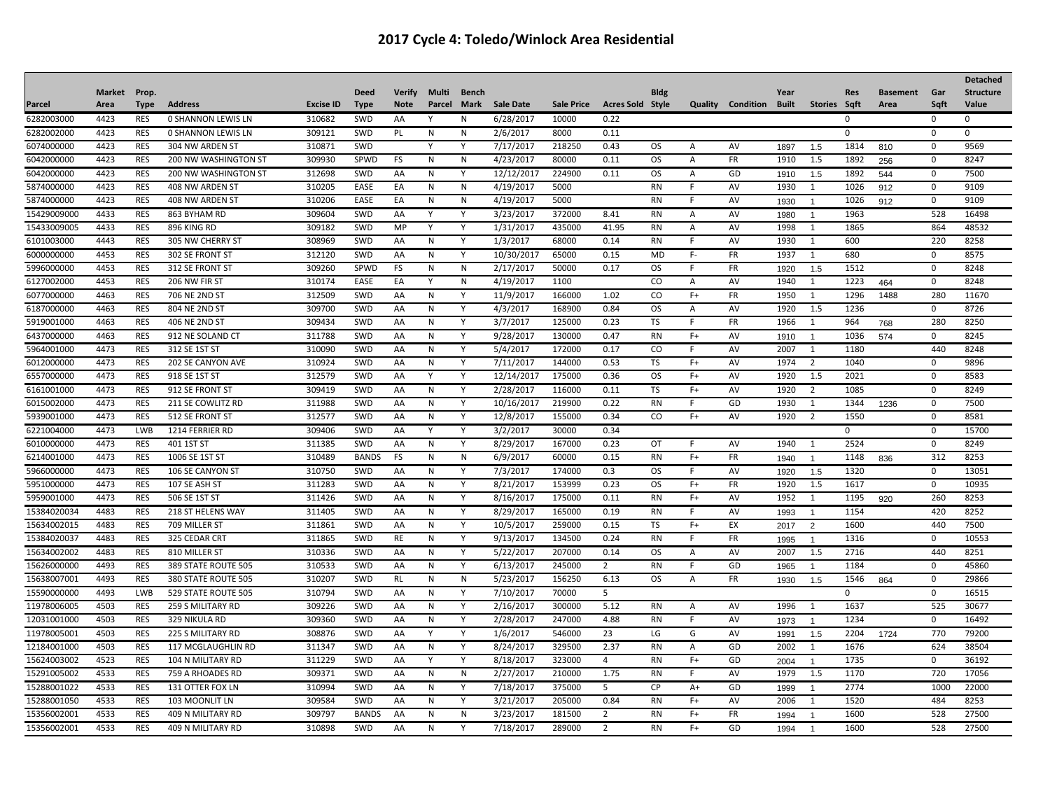|             |               |             |                           |                  |              |             |              |              |                  |                   |                         |             |         |                        |      |                         |              |                 |              | <b>Detached</b>  |
|-------------|---------------|-------------|---------------------------|------------------|--------------|-------------|--------------|--------------|------------------|-------------------|-------------------------|-------------|---------|------------------------|------|-------------------------|--------------|-----------------|--------------|------------------|
|             | <b>Market</b> | Prop.       |                           |                  | <b>Deed</b>  | Verify      | Multi        | Bench        |                  |                   |                         | <b>Bldg</b> |         |                        | Year |                         | <b>Res</b>   | <b>Basement</b> | Gar          | <b>Structure</b> |
| Parcel      | Area          | <b>Type</b> | <b>Address</b>            | <b>Excise ID</b> | <b>Type</b>  | <b>Note</b> | Parcel       | Mark         | <b>Sale Date</b> | <b>Sale Price</b> | <b>Acres Sold Style</b> |             | Quality | <b>Condition Built</b> |      | Stories Sqft            |              | Area            | Sqft         | Value            |
| 6282003000  | 4423          | <b>RES</b>  | <b>0 SHANNON LEWIS LN</b> | 310682           | SWD          | AA          | Υ            | N            | 6/28/2017        | 10000             | 0.22                    |             |         |                        |      |                         | 0            |                 | $\mathbf 0$  | $\Omega$         |
| 6282002000  | 4423          | <b>RES</b>  | <b>0 SHANNON LEWIS LN</b> | 309121           | SWD          | PL          | N            | N            | 2/6/2017         | 8000              | 0.11                    |             |         |                        |      |                         | 0            |                 | $\mathbf 0$  | $\Omega$         |
| 6074000000  | 4423          | <b>RES</b>  | 304 NW ARDEN ST           | 310871           | SWD          |             | γ            | Y            | 7/17/2017        | 218250            | 0.43                    | <b>OS</b>   | Α       | AV                     | 1897 | 1.5                     | 1814         | 810             | $\mathbf 0$  | 9569             |
| 6042000000  | 4423          | <b>RES</b>  | 200 NW WASHINGTON ST      | 309930           | SPWD         | FS          | N            | N            | 4/23/2017        | 80000             | 0.11                    | <b>OS</b>   | Α       | <b>FR</b>              | 1910 | 1.5                     | 1892         | 256             | $\mathbf 0$  | 8247             |
| 6042000000  | 4423          | <b>RES</b>  | 200 NW WASHINGTON ST      | 312698           | SWD          | AA          | N            | Υ            | 12/12/2017       | 224900            | 0.11                    | <b>OS</b>   | Α       | GD                     | 1910 | 1.5                     | 1892         | 544             | $\mathbf 0$  | 7500             |
| 5874000000  | 4423          | <b>RES</b>  | 408 NW ARDEN ST           | 310205           | EASE         | EA          | N            | N            | 4/19/2017        | 5000              |                         | <b>RN</b>   | F.      | AV                     | 1930 | $\mathbf{1}$            | 1026         | 912             | $\mathbf 0$  | 9109             |
| 5874000000  | 4423          | <b>RES</b>  | 408 NW ARDEN ST           | 310206           | EASE         | EA          | N            | N            | 4/19/2017        | 5000              |                         | <b>RN</b>   | F.      | AV                     | 1930 | $\overline{\mathbf{1}}$ | 1026         | 912             | $\mathbf 0$  | 9109             |
| 15429009000 | 4433          | <b>RES</b>  | 863 BYHAM RD              | 309604           | SWD          | AA          | Y            | Υ            | 3/23/2017        | 372000            | 8.41                    | RN          | Α       | AV                     | 1980 | $\overline{\mathbf{1}}$ | 1963         |                 | 528          | 16498            |
| 15433009005 | 4433          | <b>RES</b>  | 896 KING RD               | 309182           | SWD          | MP          | Y            | Y            | 1/31/2017        | 435000            | 41.95                   | RN          | Α       | AV                     | 1998 | 1                       | 1865         |                 | 864          | 48532            |
| 6101003000  | 4443          | <b>RES</b>  | 305 NW CHERRY ST          | 308969           | SWD          | AA          | N            | Y            | 1/3/2017         | 68000             | 0.14                    | <b>RN</b>   | F       | AV                     | 1930 | 1                       | 600          |                 | 220          | 8258             |
| 6000000000  | 4453          | <b>RES</b>  | 302 SE FRONT ST           | 312120           | SWD          | AA          | N            | Y            | 10/30/2017       | 65000             | 0.15                    | MD          | F-      | FR                     | 1937 | 1                       | 680          |                 | $\mathbf 0$  | 8575             |
| 5996000000  | 4453          | <b>RES</b>  | 312 SE FRONT ST           | 309260           | SPWD         | FS          | N            | N            | 2/17/2017        | 50000             | 0.17                    | OS.         | F.      | FR                     | 1920 | 1.5                     | 1512         |                 | $\mathbf 0$  | 8248             |
| 6127002000  | 4453          | <b>RES</b>  | 206 NW FIR ST             | 310174           | EASE         | EA          | Y            | $\mathsf{N}$ | 4/19/2017        | 1100              |                         | CO          | Α       | AV                     | 1940 | $\mathbf{1}$            | 1223         | 464             | $\mathbf 0$  | 8248             |
| 6077000000  | 4463          | <b>RES</b>  | 706 NE 2ND ST             | 312509           | SWD          | AA          | N            | Y            | 11/9/2017        | 166000            | 1.02                    | CO          | $F+$    | FR                     | 1950 | 1                       | 1296         | 1488            | 280          | 11670            |
| 6187000000  | 4463          | <b>RES</b>  | 804 NE 2ND ST             | 309700           | SWD          | AA          | N            | Y            | 4/3/2017         | 168900            | 0.84                    | <b>OS</b>   | Α       | AV                     | 1920 | 1.5                     | 1236         |                 | $\mathbf 0$  | 8726             |
| 5919001000  | 4463          | <b>RES</b>  | 406 NE 2ND ST             | 309434           | SWD          | AA          | N            | Y            | 3/7/2017         | 125000            | 0.23                    | TS          | F       | <b>FR</b>              | 1966 | 1                       | 964          | 768             | 280          | 8250             |
| 6437000000  | 4463          | <b>RES</b>  | 912 NE SOLAND CT          | 311788           | SWD          | AA          | N            | Y            | 9/28/2017        | 130000            | 0.47                    | <b>RN</b>   | $F+$    | AV                     | 1910 | $\overline{1}$          | 1036         | 574             | $\mathbf 0$  | 8245             |
| 5964001000  | 4473          | <b>RES</b>  | 312 SE 1ST ST             | 310090           | SWD          | AA          | N            | Υ            | 5/4/2017         | 172000            | 0.17                    | CO          | F       | AV                     | 2007 | -1                      | 1180         |                 | 440          | 8248             |
| 6012000000  | 4473          | <b>RES</b>  | 202 SE CANYON AVE         | 310924           | SWD          | AA          | $\mathsf{N}$ | Y            | 7/11/2017        | 144000            | 0.53                    | <b>TS</b>   | $F+$    | AV                     | 1974 | $\overline{2}$          | 1040         |                 | $\mathbf 0$  | 9896             |
| 6557000000  | 4473          | <b>RES</b>  | 918 SE 1ST ST             | 312579           | SWD          | AA          | Y            | Y            | 12/14/2017       | 175000            | 0.36                    | <b>OS</b>   | $F+$    | AV                     | 1920 | 1.5                     | 2021         |                 | $\mathbf 0$  | 8583             |
| 6161001000  | 4473          | <b>RES</b>  | 912 SE FRONT ST           | 309419           | SWD          | AA          | $\mathsf{N}$ | Y            | 2/28/2017        | 116000            | 0.11                    | <b>TS</b>   | $F+$    | AV                     | 1920 | $\overline{2}$          | 1085         |                 | $\pmb{0}$    | 8249             |
| 6015002000  | 4473          | <b>RES</b>  | 211 SE COWLITZ RD         | 311988           | SWD          | AA          | N            | Υ            | 10/16/2017       | 219900            | 0.22                    | RN          | F       | GD                     | 1930 | 1                       | 1344         | 1236            | 0            | 7500             |
| 5939001000  | 4473          | <b>RES</b>  | 512 SE FRONT ST           | 312577           | SWD          | AA          | N            | Y            | 12/8/2017        | 155000            | 0.34                    | CO          | $F+$    | AV                     | 1920 | $\overline{2}$          | 1550         |                 | $\pmb{0}$    | 8581             |
| 6221004000  | 4473          | <b>LWB</b>  | 1214 FERRIER RD           | 309406           | SWD          | AA          |              | Υ            | 3/2/2017         | 30000             | 0.34                    |             |         |                        |      |                         | $\mathbf 0$  |                 | 0            | 15700            |
| 6010000000  | 4473          | <b>RES</b>  | 401 1ST ST                | 311385           | SWD          | AA          | N            | Υ            | 8/29/2017        | 167000            | 0.23                    | OT          | F       | AV                     | 1940 | 1                       | 2524         |                 | $\mathbf 0$  | 8249             |
| 6214001000  | 4473          | <b>RES</b>  | 1006 SE 1ST ST            | 310489           | <b>BANDS</b> | <b>FS</b>   | N            | N            | 6/9/2017         | 60000             | 0.15                    | <b>RN</b>   | $F+$    | <b>FR</b>              | 1940 | $\overline{1}$          | 1148         | 836             | 312          | 8253             |
| 5966000000  | 4473          | <b>RES</b>  | 106 SE CANYON ST          | 310750           | SWD          | AA          | N            | Y            | 7/3/2017         | 174000            | 0.3                     | OS.         | F.      | AV                     | 1920 | 1.5                     | 1320         |                 | $\mathbf{0}$ | 13051            |
| 5951000000  | 4473          | <b>RES</b>  | 107 SE ASH ST             | 311283           | SWD          | AA          | N            | Υ            | 8/21/2017        | 153999            | 0.23                    | OS.         | $F+$    | FR                     | 1920 | 1.5                     | 1617         |                 | $\mathbf{0}$ | 10935            |
| 5959001000  | 4473          | <b>RES</b>  | 506 SE 1ST ST             | 311426           | SWD          | AA          | N            | Υ            | 8/16/2017        | 175000            | 0.11                    | <b>RN</b>   | $F+$    | AV                     | 1952 | $\overline{1}$          | 1195         | 920             | 260          | 8253             |
| 15384020034 | 4483          | <b>RES</b>  | 218 ST HELENS WAY         | 311405           | SWD          | AA          | N            | Y            | 8/29/2017        | 165000            | 0.19                    | <b>RN</b>   | F       | AV                     | 1993 | $\overline{1}$          | 1154         |                 | 420          | 8252             |
| 15634002015 | 4483          | <b>RES</b>  | 709 MILLER ST             | 311861           | SWD          | AA          | N            | Υ            | 10/5/2017        | 259000            | 0.15                    | TS          | $F+$    | EX                     | 2017 | $\overline{2}$          | 1600         |                 | 440          | 7500             |
| 15384020037 | 4483          | <b>RES</b>  | 325 CEDAR CRT             | 311865           | SWD          | RE          | N            | Υ            | 9/13/2017        | 134500            | 0.24                    | <b>RN</b>   | F       | FR                     | 1995 | $\overline{1}$          | 1316         |                 | $\mathbf 0$  | 10553            |
| 15634002002 | 4483          | <b>RES</b>  | 810 MILLER ST             | 310336           | SWD          | AA          | N            | Y            | 5/22/2017        | 207000            | 0.14                    | OS.         | Α       | AV                     | 2007 | 1.5                     | 2716         |                 | 440          | 8251             |
| 15626000000 | 4493          | <b>RES</b>  | 389 STATE ROUTE 505       | 310533           | SWD          | AA          | N            | Y            | 6/13/2017        | 245000            | $\overline{2}$          | <b>RN</b>   | F.      | GD                     | 1965 | $\mathbf{1}$            | 1184         |                 | $\mathbf{0}$ | 45860            |
| 15638007001 | 4493          | <b>RES</b>  | 380 STATE ROUTE 505       | 310207           | SWD          | RL          | N            | N            | 5/23/2017        | 156250            | 6.13                    | <b>OS</b>   | Α       | <b>FR</b>              | 1930 | 1.5                     | 1546         | 864             | $\mathbf{0}$ | 29866            |
| 15590000000 | 4493          | LWB         | 529 STATE ROUTE 505       | 310794           | SWD          | AA          | N            | Y            | 7/10/2017        | 70000             | 5                       |             |         |                        |      |                         | $\mathbf{0}$ |                 | $\mathbf 0$  | 16515            |
| 11978006005 | 4503          | <b>RES</b>  | 259 S MILITARY RD         | 309226           | SWD          | AA          | N            | Υ            | 2/16/2017        | 300000            | 5.12                    | RN          | Α       | AV                     | 1996 | -1                      | 1637         |                 | 525          | 30677            |
| 12031001000 | 4503          | <b>RES</b>  | 329 NIKULA RD             | 309360           | SWD          | AA          | N            | Y            | 2/28/2017        | 247000            | 4.88                    | <b>RN</b>   | F       | AV                     | 1973 | $\overline{1}$          | 1234         |                 | $\mathbf{0}$ | 16492            |
| 11978005001 | 4503          | <b>RES</b>  | <b>225 S MILITARY RD</b>  | 308876           | SWD          | AA          | Y            | Y            | 1/6/2017         | 546000            | 23                      | LG          | G       | AV                     | 1991 | 1.5                     | 2204         | 1724            | 770          | 79200            |
| 12184001000 | 4503          | <b>RES</b>  | 117 MCGLAUGHLIN RD        | 311347           | SWD          | AA          | N            | Y            | 8/24/2017        | 329500            | 2.37                    | <b>RN</b>   | А       | GD                     | 2002 | $\mathbf{1}$            | 1676         |                 | 624          | 38504            |
| 15624003002 | 4523          | <b>RES</b>  | 104 N MILITARY RD         | 311229           | SWD          | AA          | Y            | Υ            | 8/18/2017        | 323000            | $\overline{4}$          | <b>RN</b>   | $F+$    | GD                     | 2004 | $\overline{1}$          | 1735         |                 | $\mathbf 0$  | 36192            |
| 15291005002 | 4533          | <b>RES</b>  | 759 A RHOADES RD          | 309371           | SWD          | AA          | N            | N            | 2/27/2017        | 210000            | 1.75                    | <b>RN</b>   | F       | AV                     | 1979 | 1.5                     | 1170         |                 | 720          | 17056            |
| 15288001022 | 4533          | <b>RES</b>  | 131 OTTER FOX LN          | 310994           | SWD          | AA          | N            | Y            | 7/18/2017        | 375000            | 5                       | <b>CP</b>   | $A+$    | GD                     | 1999 | $\overline{1}$          | 2774         |                 | 1000         | 22000            |
| 15288001050 | 4533          | <b>RES</b>  | 103 MOONLIT LN            | 309584           | SWD          | AA          | $\mathsf{N}$ | Y            | 3/21/2017        | 205000            | 0.84                    | <b>RN</b>   | $F+$    | AV                     | 2006 | $\mathbf{1}$            | 1520         |                 | 484          | 8253             |
| 1535600200  | 4533          | <b>RES</b>  | 409 N MILITARY RD         | 309797           | <b>BANDS</b> | AA          | N            | N            | 3/23/2017        | 181500            | 2                       | <b>RN</b>   | $F+$    | <b>FR</b>              | 1994 |                         | 1600         |                 | 528          | 27500            |
| 15356002001 | 4533          | <b>RES</b>  | 409 N MILITARY RD         | 310898           | SWD          | AA          | N            | Y            | 7/18/2017        | 289000            | $\overline{2}$          | <b>RN</b>   | $F+$    | GD                     | 1994 | $\overline{1}$          | 1600         |                 | 528          | 27500            |